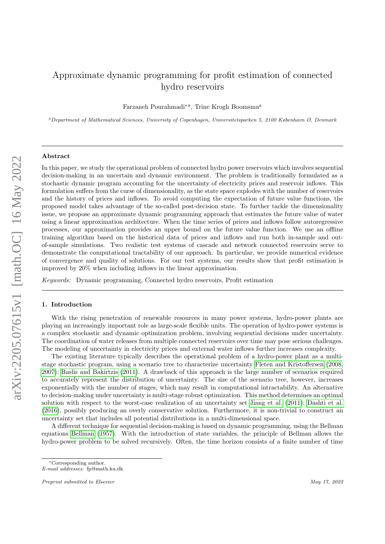# Approximate dynamic programming for profit estimation of connected hydro reservoirs

Farzaneh Pourahmadi<sup>∗a</sup>, Trine Krogh Boomsma<sup>a</sup>

<sup>a</sup>Department of Mathematical Sciences, University of Copenhagen, Universitetsparken 5, 2100 København Ø, Denmark

# Abstract

In this paper, we study the operational problem of connected hydro power reservoirs which involves sequential decision-making in an uncertain and dynamic environment. The problem is traditionally formulated as a stochastic dynamic program accounting for the uncertainty of electricity prices and reservoir inflows. This formulation suffers from the curse of dimensionality, as the state space explodes with the number of reservoirs and the history of prices and inflows. To avoid computing the expectation of future value functions, the proposed model takes advantage of the so-called post-decision state. To further tackle the dimensionality issue, we propose an approximate dynamic programming approach that estimates the future value of water using a linear approximation architecture. When the time series of prices and inflows follow autoregressive processes, our approximation provides an upper bound on the future value function. We use an offline training algorithm based on the historical data of prices and inflows and run both in-sample and outof-sample simulations. Two realistic test systems of cascade and network connected reservoirs serve to demonstrate the computational tractability of our approach. In particular, we provide numerical evidence of convergence and quality of solutions. For our test systems, our results show that profit estimation is improved by 20% when including inflows in the linear approximation.

Keywords: Dynamic programming, Connected hydro reservoirs, Profit estimation

# 1. Introduction

With the rising penetration of renewable resources in many power systems, hydro-power plants are playing an increasingly important role as large-scale flexible units. The operation of hydro-power systems is a complex stochastic and dynamic optimization problem, involving sequential decisions under uncertainty. The coordination of water releases from multiple connected reservoirs over time may pose serious challenges. The modeling of uncertainty in electricity prices and external water inflows further increases complexity.

The existing literature typically describes the operational problem of a hydro-power plant as a multistage stochastic program, using a scenario tree to characterize uncertainty [Fleten and Kristoffersen \(2008,](#page-16-0) [2007\)](#page-16-1); [Baslis and Bakirtzis \(2011\)](#page-16-2). A drawback of this approach is the large number of scenarios required to accurately represent the distribution of uncertainty. The size of the scenario tree, however, increases exponentially with the number of stages, which may result in computational intractability. An alternative to decision-making under uncertainty is multi-stage robust optimization. This method determines an optimal solution with respect to the worst-case realization of an uncertainty set [Jiang et al. \(2011\)](#page-16-3); [Dashti et al.](#page-16-4) [\(2016\)](#page-16-4), possibly producing an overly conservative solution. Furthermore, it is non-trivial to construct an uncertainty set that includes all potential distributions in a multi-dimensional space.

A different technique for sequential decision-making is based on dynamic programming, using the Bellman equations [Bellman \(1957\)](#page-16-5). With the introduction of state variables, the principle of Bellman allows the hydro-power problem to be solved recursively. Often, the time horizon consists of a finite number of time

<sup>∗</sup>Corresponding author.

E-mail addresses: fp@math.ku.dk

Preprint submitted to Elsevier May 17, 2022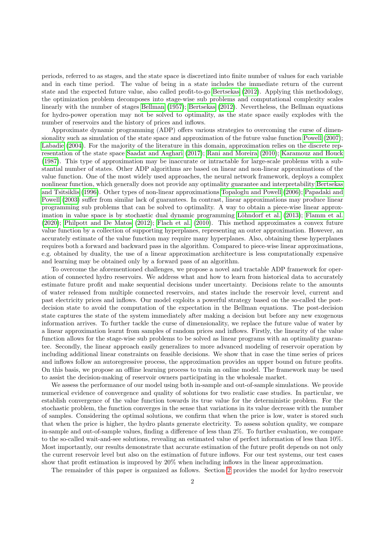periods, referred to as stages, and the state space is discretized into finite number of values for each variable and in each time period. The value of being in a state includes the immediate return of the current state and the expected future value, also called profit-to-go [Bertsekas \(2012\)](#page-16-6). Applying this methodology, the optimization problem decomposes into stage-wise sub problems and computational complexity scales linearly with the number of stages [Bellman \(1957\)](#page-16-5); [Bertsekas \(2012\)](#page-16-6). Nevertheless, the Bellman equations for hydro-power operation may not be solved to optimality, as the state space easily explodes with the number of reservoirs and the history of prices and inflows.

Approximate dynamic programming (ADP) offers various strategies to overcoming the curse of dimensionality such as simulation of the state space and approximation of the future value function [Powell \(2007\)](#page-16-7); [Labadie \(2004\)](#page-16-8). For the majority of the literature in this domain, approximation relies on the discrete representation of the state space [Saadat and Asghari \(2017\)](#page-16-9); [Rani and Moreira \(2010\)](#page-16-10); [Karamouz and Houck](#page-16-11) [\(1987\)](#page-16-11). This type of approximation may be inaccurate or intractable for large-scale problems with a substantial number of states. Other ADP algorithms are based on linear and non-linear approximations of the value function. One of the most widely used approaches, the neural network framework, deploys a complex nonlinear function, which generally does not provide any optimality guarantee and interpretability [Bertsekas](#page-16-12) [and Tsitsiklis \(1996\)](#page-16-12). Other types of non-linear approximations [Topaloglu and Powell \(2006\)](#page-16-13); [Papadaki and](#page-16-14) [Powell \(2003\)](#page-16-14) suffer from similar lack of guarantees. In contrast, linear approximations may produce linear programming sub problems that can be solved to optimality. A way to obtain a piece-wise linear approx-imation in value space is by stochastic dual dynamic programming Löhndorf et al. (2013); [Flamm et al.](#page-16-16) [\(2020\)](#page-16-16); [Philpott and De Matos \(2012\)](#page-16-17); [Flach et al. \(2010\)](#page-16-18). This method approximates a convex future value function by a collection of supporting hyperplanes, representing an outer approximation. However, an accurately estimate of the value function may require many hyperplanes. Also, obtaining these hyperplanes requires both a forward and backward pass in the algorithm. Compared to piece-wise linear approximations, e.g. obtained by duality, the use of a linear approximation architecture is less computationally expensive and learning may be obtained only by a forward pass of an algorithm.

To overcome the aforementioned challenges, we propose a novel and tractable ADP framework for operation of connected hydro reservoirs. We address what and how to learn from historical data to accurately estimate future profit and make sequential decisions under uncertainty. Decisions relate to the amounts of water released from multiple connected reservoirs, and states include the reservoir level, current and past electricity prices and inflows. Our model exploits a powerful strategy based on the so-called the postdecision state to avoid the computation of the expectation in the Bellman equations. The post-decision state captures the state of the system immediately after making a decision but before any new exogenous information arrives. To further tackle the curse of dimensionality, we replace the future value of water by a linear approximation learnt from samples of random prices and inflows. Firstly, the linearity of the value function allows for the stage-wise sub problems to be solved as linear programs with an optimality guarantee. Secondly, the linear approach easily generalizes to more advanced modeling of reservoir operation by including additional linear constraints on feasible decisions. We show that in case the time series of prices and inflows follow an autoregressive process, the approximation provides an upper bound on future profits. On this basis, we propose an offline learning process to train an online model. The framework may be used to assist the decision-making of reservoir owners participating in the wholesale market.

We assess the performance of our model using both in-sample and out-of-sample simulations. We provide numerical evidence of convergence and quality of solutions for two realistic case studies. In particular, we establish convergence of the value function towards its true value for the deterministic problem. For the stochastic problem, the function converges in the sense that variations in its value decrease with the number of samples. Considering the optimal solutions, we confirm that when the price is low, water is stored such that when the price is higher, the hydro plants generate electricity. To assess solution quality, we compare in-sample and out-of-sample values, finding a difference of less than 2%. To further evaluation, we compare to the so-called wait-and-see solutions, revealing an estimated value of perfect information of less than 10%. Most importantly, our results demonstrate that accurate estimation of the future profit depends on not only the current reservoir level but also on the estimation of future inflows. For our test systems, our test cases show that profit estimation is improved by 20% when including inflows in the linear approximation.

The remainder of this paper is organized as follows. Section [2](#page-2-0) provides the model for hydro reservoir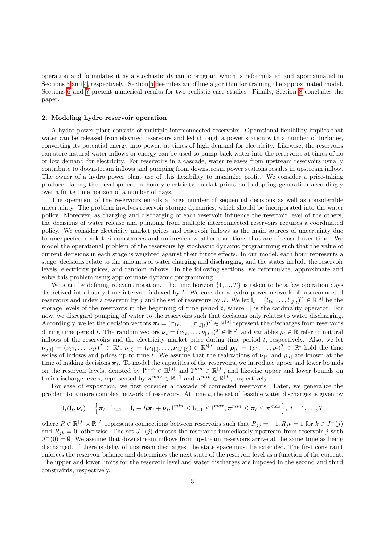operation and formulates it as a stochastic dynamic program which is reformulated and approximated in Sections [3](#page-3-0) and [4,](#page-5-0) respectively. Section [5](#page-6-0) describes an offline algorithm for training the approximated model. Sections [6](#page-7-0) and [7](#page-13-0) present numerical results for two realistic case studies. Finally, Section [8](#page-15-0) concludes the paper.

# <span id="page-2-0"></span>2. Modeling hydro reservoir operation

A hydro power plant consists of multiple interconnected reservoirs. Operational flexibility implies that water can be released from elevated reservoirs and led through a power station with a number of turbines, converting its potential energy into power, at times of high demand for electricity. Likewise, the reservoirs can store natural water inflows or energy can be used to pump back water into the reservoirs at times of no or low demand for electricity. For reservoirs in a cascade, water releases from upstream reservoirs usually contribute to downstream inflows and pumping from downstream power stations results in upstream inflow. The owner of a hydro power plant use of this flexibility to maximize profit. We consider a price-taking producer facing the development in hourly electricity market prices and adapting generation accordingly over a finite time horizon of a number of days.

The operation of the reservoirs entails a large number of sequential decisions as well as considerable uncertainty. The problem involves reservoir storage dynamics, which should be incorporated into the water policy. Moreover, as charging and discharging of each reservoir influence the reservoir level of the others, the decisions of water release and pumping from multiple interconnected reservoirs requires a coordinated policy. We consider electricity market prices and reservoir inflows as the main sources of uncertainty due to unexpected market circumstances and unforeseen weather conditions that are disclosed over time. We model the operational problem of the reservoirs by stochastic dynamic programming such that the value of current decisions in each stage is weighted against their future effects. In our model, each hour represents a stage, decisions relate to the amounts of water charging and discharging, and the states include the reservoir levels, electricity prices, and random inflows. In the following sections, we reformulate, approximate and solve this problem using approximate dynamic programming.

We start by defining relevant notation. The time horizon  $\{1, ..., T\}$  is taken to be a few operation days discretized into hourly time intervals indexed by t. We consider a hydro power network of interconnected reservoirs and index a reservoir by j and the set of reservoirs by J. We let  $\mathbf{l}_t = (l_{1t}, \ldots, l_{|J|t})^T \in \mathbb{R}^{|J|}$  be the storage levels of the reservoirs in the beginning of time period  $t$ , where  $|.|$  is the cardinality operator. For now, we disregard pumping of water to the reservoirs such that decisions only relates to water discharging. Accordingly, we let the decision vectors  $\boldsymbol{\pi}_t = (\pi_{1t}, \dots, \pi_{|J|t})^T \in \mathbb{R}^{|J|}$  represent the discharges from reservoirs during time period t. The random vectors  $\boldsymbol{\nu}_t = (\nu_{1t}, \dots, \nu_{|J|t})^T \in \mathbb{R}^{|J|}$  and variables  $\rho_t \in \mathbb{R}$  refer to natural inflows of the reservoirs and the electricity market price during time period  $t$ , respectively. Also, we let  $\boldsymbol{\nu}_{j[t]} = (\nu_{j1}, \dots, \nu_{jt})^T \in \mathbb{R}^t$ ,  $\boldsymbol{\nu}_{[t]} = (\boldsymbol{\nu}_{1[t]}, \dots, \boldsymbol{\nu}_{|J|[t]}) \in \mathbb{R}^{t|J|}$  and  $\boldsymbol{\rho}_{[t]} = (\rho_1, \dots, \rho_t)^T \in \mathbb{R}^t$  hold the time series of inflows and prices up to time t. We assume that the realizations of  $\nu_{[t]}$  and  $\rho_{[t]}$  are known at the time of making decisions  $\pi_t$ . To model the capacities of the reservoirs, we introduce upper and lower bounds on the reservoir levels, denoted by  $\mathbf{l}^{max} \in \mathbb{R}^{|J|}$  and  $\mathbf{l}^{min} \in \mathbb{R}^{|J|}$ , and likewise upper and lower bounds on their discharge levels, represented by  $\pi^{max} \in \mathbb{R}^{|J|}$  and  $\pi^{min} \in \mathbb{R}^{|J|}$ , respectively.

For ease of exposition, we first consider a cascade of connected reservoirs. Later, we generalize the problem to a more complex network of reservoirs. At time t, the set of feasible water discharges is given by

$$
\Pi_t(\mathbf{l}_t,\boldsymbol{\nu}_t)=\Big\{\boldsymbol{\pi}_t:\mathbf{l}_{t+1}=\mathbf{l}_t+R\boldsymbol{\pi}_t+\boldsymbol{\nu}_t,\mathbf{l}^{min}\leq \mathbf{l}_{t+1}\leq \mathbf{l}^{max},\boldsymbol{\pi}^{min}\leq \boldsymbol{\pi}_t\leq \boldsymbol{\pi}^{max}\Big\},\ t=1,\ldots,T,
$$

where  $R \in \mathbb{R}^{|J|} \times \mathbb{R}^{|J|}$  represents connections between reservoirs such that  $R_{jj} = -1, R_{jk} = 1$  for  $k \in J^{-}(j)$ and  $R_{jk} = 0$ , otherwise. The set  $J^{-}(j)$  denotes the reservoirs immediately upstream from reservoir j with  $J^-(0) = \emptyset$ . We assume that downstream inflows from upstream reservoirs arrive at the same time as being discharged. If there is delay of upstream discharges, the state space must be extended. The first constraint enforces the reservoir balance and determines the next state of the reservoir level as a function of the current. The upper and lower limits for the reservoir level and water discharges are imposed in the second and third constraints, respectively.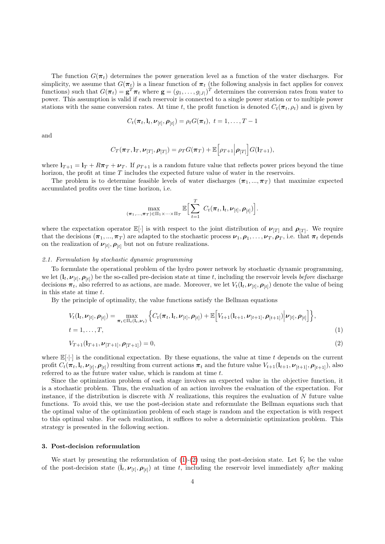The function  $G(\pi_t)$  determines the power generation level as a function of the water discharges. For simplicity, we assume that  $G(\pi_t)$  is a linear function of  $\pi_t$  (the following analysis in fact applies for convex functions) such that  $G(\pi_t) = \mathbf{g}^T \pi_t$  where  $\mathbf{g} = (g_1, \dots, g_{|J|})^T$  determines the conversion rates from water to power. This assumption is valid if each reservoir is connected to a single power station or to multiple power stations with the same conversion rates. At time t, the profit function is denoted  $C_t(\pi_t, \rho_t)$  and is given by

$$
C_t(\boldsymbol{\pi}_t, \mathbf{l}_t, \boldsymbol{\nu}_{[t]}, \boldsymbol{\rho}_{[t]}) = \rho_t G(\boldsymbol{\pi}_t), \ t = 1, \ldots, T-1
$$

and

$$
C_T(\boldsymbol{\pi}_T,\mathbf{l}_T,\boldsymbol{\nu}_{[T]},\boldsymbol{\rho}_{[T]})=\rho_T G(\boldsymbol{\pi}_T)+\mathbb{E}\Big[\rho_{T+1}\Big|\boldsymbol{\rho}_{[T]}\Big]G(\mathbf{l}_{T+1}),
$$

where  $\mathbf{l}_{T+1} = \mathbf{l}_T + R\pi_T + \nu_T$ . If  $\rho_{T+1}$  is a random future value that reflects power prices beyond the time horizon, the profit at time T includes the expected future value of water in the reservoirs.

The problem is to determine feasible levels of water discharges  $(\pi_1, ..., \pi_T)$  that maximize expected accumulated profits over the time horizon, i.e.

<span id="page-3-2"></span><span id="page-3-1"></span>
$$
\max_{(\boldsymbol{\pi}_1,\ldots,\boldsymbol{\pi}_T)\in\Pi_1\times\cdots\times\Pi_T}\mathbb{E}\Big[\sum_{t=1}^T C_t(\boldsymbol{\pi}_t,\mathbf{l}_t,\boldsymbol{\nu}_{[t]},\boldsymbol{\rho}_{[t]})\Big].
$$

where the expectation operator  $\mathbb{E}[\cdot]$  is with respect to the joint distribution of  $\nu_{[T]}$  and  $\rho_{[T]}$ . We require that the decisions  $(\pi_1, ..., \pi_T)$  are adapted to the stochastic process  $\nu_1, \rho_1, ..., \nu_T, \rho_T$ , i.e. that  $\pi_t$  depends on the realization of  $\nu_{[t]}, \rho_{[t]}$  but not on future realizations.

#### 2.1. Formulation by stochastic dynamic programming

To formulate the operational problem of the hydro power network by stochastic dynamic programming, we let  $(l_t, \nu_{[t]}, \rho_{[t]})$  be the so-called pre-decision state at time t, including the reservoir levels *before* discharge decisions  $\pi_t$ , also referred to as actions, are made. Moreover, we let  $V_t(1_t, \nu_{[t]}, \rho_{[t]})$  denote the value of being in this state at time  $t$ .

By the principle of optimality, the value functions satisfy the Bellman equations

$$
V_t(\mathbf{l}_t, \nu_{[t]}, \rho_{[t]}) = \max_{\pi_t \in \Pi_t(\mathbf{l}_t, \nu_t)} \left\{ C_t(\pi_t, \mathbf{l}_t, \nu_{[t]}, \rho_{[t]}) + \mathbb{E} \left[ V_{t+1}(\mathbf{l}_{t+1}, \nu_{[t+1]}, \rho_{[t+1]}) \Big| \nu_{[t]}, \rho_{[t]} \right] \right\},
$$
  
\n
$$
t = 1, \dots, T,
$$
\n(1)

$$
V_{T+1}(\mathbf{l}_{T+1}, \nu_{[T+1]}, \rho_{[T+1]}) = 0,\tag{2}
$$

where  $\mathbb{E}[\cdot|\cdot]$  is the conditional expectation. By these equations, the value at time t depends on the current profit  $C_t(\bm{\pi}_t, \mathbf{l}_t, \bm{\nu}_{[t]}, \bm{\rho}_{[t]})$  resulting from current actions  $\bm{\pi}_t$  and the future value  $V_{t+1}(\mathbf{l}_{t+1}, \bm{\nu}_{[t+1]}, \bm{\rho}_{[t+1]}),$  also referred to as the future water value, which is random at time t.

Since the optimization problem of each stage involves an expected value in the objective function, it is a stochastic problem. Thus, the evaluation of an action involves the evaluation of the expectation. For instance, if the distribution is discrete with  $N$  realizations, this requires the evaluation of  $N$  future value functions. To avoid this, we use the post-decision state and reformulate the Bellman equations such that the optimal value of the optimization problem of each stage is random and the expectation is with respect to this optimal value. For each realization, it suffices to solve a deterministic optimization problem. This strategy is presented in the following section.

# <span id="page-3-0"></span>3. Post-decision reformulation

We start by presenting the reformulation of [\(1\)](#page-3-1)-[\(2\)](#page-3-2) using the post-decision state. Let  $\bar{V}_t$  be the value of the post-decision state  $(\bar{l}_t, \nu_{[t]}, \rho_{[t]})$  at time t, including the reservoir level immediately *after* making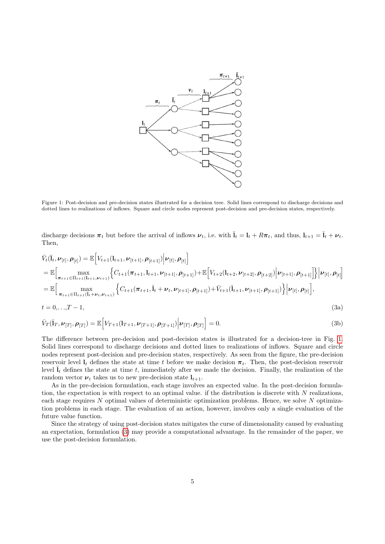

<span id="page-4-0"></span>Figure 1: Post-decision and pre-decision states illustrated for a decision tree. Solid lines correspond to discharge decisions and dotted lines to realizations of inflows. Square and circle nodes represent post-decision and pre-decision states, respectively.

<span id="page-4-1"></span>discharge decisions  $\pi_t$  but before the arrival of inflows  $\nu_t$ , i.e. with  $\bar{l}_t = l_t + R\pi_t$ , and thus,  $l_{t+1} = \bar{l}_t + \nu_t$ . Then,

$$
\bar{V}_{t}(\bar{l}_{t}, \nu_{[t]}, \rho_{[t]}) = \mathbb{E}\Big[V_{t+1}(l_{t+1}, \nu_{[t+1]}, \rho_{[t+1]})\Big|\nu_{[t]}, \rho_{[t]}\Big] \n= \mathbb{E}\Big[\max_{\pi_{t+1} \in \Pi_{t+1}(l_{t+1}, \nu_{t+1})} \Big\{C_{t+1}(\pi_{t+1}, l_{t+1}, \nu_{[t+1]}, \rho_{[t+1]}) + \mathbb{E}\Big[V_{t+2}(l_{t+2}, \nu_{[t+2]}, \rho_{[t+2]})\Big|\nu_{[t+1]}, \rho_{[t+1]}\Big]\Big\}\Big|\nu_{[t]}, \rho_{[t]}\Big] \n= \mathbb{E}\Big[\max_{\pi_{t+1} \in \Pi_{t+1}(\bar{l}_{t} + \nu_{t}, \nu_{t+1})} \Big\{C_{t+1}(\pi_{t+1}, \bar{l}_{t} + \nu_{t}, \nu_{[t+1]}, \rho_{[t+1]}) + \bar{V}_{t+1}(\bar{l}_{t+1}, \nu_{[t+1]}, \rho_{[t+1]})\Big\}\Big|\nu_{[t]}, \rho_{[t]}\Big],\n t = 0,...,T-1, \tag{3a}
$$

$$
\bar{V}_T(\bar{\mathbf{I}}_T, \boldsymbol{\nu}_{[T]}, \boldsymbol{\rho}_{[T]}) = \mathbb{E}\Big[V_{T+1}(\mathbf{I}_{T+1}, \boldsymbol{\nu}_{[T+1]}, \boldsymbol{\rho}_{[T+1]}) \Big| \boldsymbol{\nu}_{[T]}, \boldsymbol{\rho}_{[T]}\Big] = 0.
$$
\n(3b)

The difference between pre-decision and post-decision states is illustrated for a decision-tree in Fig. [1.](#page-4-0) Solid lines correspond to discharge decisions and dotted lines to realizations of inflows. Square and circle nodes represent post-decision and pre-decision states, respectively. As seen from the figure, the pre-decision reservoir level  $I_t$  defines the state at time t before we make decision  $\pi_t$ . Then, the post-decision reservoir level  $\bar{\mathbf{l}}_t$  defines the state at time t, immediately after we made the decision. Finally, the realization of the random vector  $v_t$  takes us to new pre-decision state  $l_{t+1}$ .

As in the pre-decision formulation, each stage involves an expected value. In the post-decision formulation, the expectation is with respect to an optimal value. if the distribution is discrete with N realizations, each stage requires N optimal values of deterministic optimization problems. Hence, we solve N optimization problems in each stage. The evaluation of an action, however, involves only a single evaluation of the future value function.

Since the strategy of using post-decision states mitigates the curse of dimensionality caused by evaluating an expectation, formulation [\(3\)](#page-4-1) may provide a computational advantage. In the remainder of the paper, we use the post-decision formulation.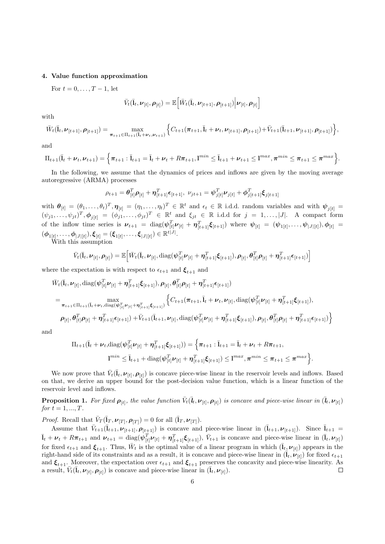# <span id="page-5-0"></span>4. Value function approximation

For  $t = 0, \ldots, T-1$ , let

$$
\bar{V}_t(\bar{\mathbf{l}}_t, \boldsymbol{\nu}_{[t]}, \boldsymbol{\rho}_{[t]}) = \mathbb{E}\Big[\bar{W}_t(\bar{\mathbf{l}}_t, \boldsymbol{\nu}_{[t+1]}, \boldsymbol{\rho}_{[t+1]}) \Big| \boldsymbol{\nu}_{[t]}, \boldsymbol{\rho}_{[t]}\Big]
$$

with

$$
\bar{W}_t(\bar{l}_t, \nu_{[t+1]}, \rho_{[t+1]}) = \max_{\pi_{t+1} \in \Pi_{t+1}(\bar{l}_t + \nu_t, \nu_{t+1})} \left\{ C_{t+1}(\pi_{t+1}, \bar{l}_t + \nu_t, \nu_{[t+1]}, \rho_{[t+1]}) + \bar{V}_{t+1}(\bar{l}_{t+1}, \nu_{[t+1]}, \rho_{[t+1]}) \right\},\,
$$

and

$$
\Pi_{t+1}(\bar{l}_t + \nu_t, \nu_{t+1}) = \left\{ \pi_{t+1} : \bar{l}_{t+1} = \bar{l}_t + \nu_t + R\pi_{t+1}, \mathbf{l}^{min} \leq \bar{l}_{t+1} + \nu_{t+1} \leq \mathbf{l}^{max}, \pi^{min} \leq \pi_{t+1} \leq \pi^{max} \right\}.
$$

In the following, we assume that the dynamics of prices and inflows are given by the moving average autoregressive (ARMA) processes

$$
\rho_{t+1} = \boldsymbol{\theta}_{[t]}^T \boldsymbol{\rho}_{[t]} + \boldsymbol{\eta}_{[t+1]}^T \boldsymbol{\epsilon}_{[t+1]}, \ \nu_{jt+1} = \boldsymbol{\psi}_{j[t]}^T \boldsymbol{\nu}_{j[t]} + \boldsymbol{\phi}_{j[t+1]}^T \boldsymbol{\xi}_{j[t+1]}
$$

with  $\boldsymbol{\theta}_{[t]} = (\theta_1, \dots, \theta_t)^T, \boldsymbol{\eta}_{[t]} = (\eta_1, \dots, \eta_t)^T \in \mathbb{R}^t$  and  $\epsilon_t \in \mathbb{R}$  i.d.d. random variables and with  $\boldsymbol{\psi}_{j[t]} =$  $(\psi_{j1},\ldots,\psi_{jt})^T, \phi_{j[t]} = (\phi_{j1},\ldots,\phi_{jt})^T \in \mathbb{R}^t$  and  $\xi_{jt} \in \mathbb{R}$  i.d.d for  $j = 1,\ldots,|J|$ . A compact form of the inflow time series is  $\nu_{t+1} = \text{diag}(\psi_{[t]}^T \nu_{[t]} + \eta_{[t+1]}^T \xi_{[t+1]})$  where  $\psi_{[t]} = (\psi_{1[t]}, \dots, \psi_{|J|[t]}), \phi_{[t]} =$  $(\bm{\phi}_{1[t]},\ldots,\bm{\phi}_{|J|[t]}),\bm{\xi}_{[t]}=(\bm{\xi}_{1[t]},\ldots,\bm{\xi}_{|J|[t]})\in\mathbb{R}^{t|J|}.$ 

With this assumption

$$
\bar{V}_t(\bar{\mathbf{I}}_t, \boldsymbol{\nu}_{[t]}, \boldsymbol{\rho}_{[t]}) = \mathbb{E}\Big[\bar{W}_t(\bar{\mathbf{I}}_t, \boldsymbol{\nu}_{[t]}, \text{diag}(\boldsymbol{\psi}_{[t]}^T \boldsymbol{\nu}_{[t]} + \boldsymbol{\eta}_{[t+1]}^T \boldsymbol{\xi}_{[t+1]}), \boldsymbol{\rho}_{[t]}, \boldsymbol{\theta}_{[t]}^T \boldsymbol{\rho}_{[t]} + \boldsymbol{\eta}_{[t+1]}^T \boldsymbol{\epsilon}_{[t+1]})\Big]
$$

where the expectation is with respect to  $\epsilon_{t+1}$  and  $\xi_{t+1}$  and

$$
\bar{W}_{t}(\bar{\mathbf{l}}_{t},\nu_{[t]},\text{diag}(\psi_{[t]}^{T}\nu_{[t]}+\eta_{[t+1]}^{T}\xi_{[t+1]}),\rho_{[t]},\theta_{[t]}^{T}\rho_{[t]}+\eta_{[t+1]}^{T}\epsilon_{[t+1]})
$$
\n
$$
=\max_{\pi_{t+1}\in\Pi_{t+1}(\mathbf{I}_{t}+\nu_{t},\text{diag}(\psi_{[t]}^{T}\nu_{[t]}+\eta_{[t+1]}^{T}\xi_{[t+1]}))}\left\{C_{t+1}(\pi_{t+1},\bar{\mathbf{l}}_{t}+\nu_{t},\nu_{[t]},\text{diag}(\psi_{[t]}^{T}\nu_{[t]}+\eta_{[t+1]}^{T}\xi_{[t+1]}),\rho_{[t+1]}^{T}\epsilon_{[t+1]}),\rho_{[t+1]}^{T}\epsilon_{[t+1]}^{T}\epsilon_{[t+1]}+\eta_{[t+1]}^{T}\epsilon_{[t+1]})+\bar{V}_{t+1}(\bar{\mathbf{l}}_{t+1},\nu_{[t]},\text{diag}(\psi_{[t]}^{T}\nu_{[t]}+\eta_{[t+1]}^{T}\xi_{[t+1]}),\rho_{[t]},\theta_{[t]}^{T}\rho_{[t]}+\eta_{[t+1]}^{T}\epsilon_{[t+1]})\right\}
$$

and

$$
\Pi_{t+1}(\bar{\mathbf{I}}_{t} + \boldsymbol{\nu}_{t}, \text{diag}(\boldsymbol{\psi}_{[t]}^{T} \boldsymbol{\nu}_{[t]} + \boldsymbol{\eta}_{[t+1]}^{T} \boldsymbol{\xi}_{[t+1]})) = \left\{ \boldsymbol{\pi}_{t+1} : \bar{\mathbf{I}}_{t+1} = \bar{\mathbf{I}}_{t} + \boldsymbol{\nu}_{t} + R \boldsymbol{\pi}_{t+1}, \mathbf{I}^{min} \leq \bar{\mathbf{I}}_{t+1} + \text{diag}(\boldsymbol{\psi}_{[t]}^{T} \boldsymbol{\nu}_{[t]} + \boldsymbol{\eta}_{[t+1]}^{T} \boldsymbol{\xi}_{[t+1]}) \leq \mathbf{I}^{max}, \boldsymbol{\pi}^{min} \leq \boldsymbol{\pi}_{t+1} \leq \boldsymbol{\pi}^{max} \right\}.
$$

We now prove that  $\bar{V}_t(\bar{\mathbf{I}}_t, \nu_{[t]}, \rho_{[t]})$  is concave piece-wise linear in the reservoir levels and inflows. Based on that, we derive an upper bound for the post-decision value function, which is a linear function of the reservoir level and inflows.

**Proposition 1.** For fixed  $\rho_{[t]}$ , the value function  $\bar{V}_t(\bar{l}_t, \nu_{[t]}, \rho_{[t]})$  is concave and piece-wise linear in  $(\bar{l}_t, \nu_{[t]})$ for  $t = 1, ..., T$ .

*Proof.* Recall that  $\bar{V}_T(\bar{\mathbf{I}}_T, \boldsymbol{\nu}_{[T]}, \boldsymbol{\rho}_{[T]}) = 0$  for all  $(\bar{\mathbf{I}}_T, \boldsymbol{\nu}_{[T]})$ .

Assume that  $\overline{V}_{t+1}(\overline{I}_{t+1}, \nu_{[t+1]}, \rho_{[t+1]})$  is concave and piece-wise linear in  $(\overline{I}_{t+1}, \nu_{[t+1]})$ . Since  $\overline{I}_{t+1}$  $\overline{\mathbf{I}}_t + \boldsymbol{\nu}_t + R\boldsymbol{\pi}_{t+1}$  and  $\boldsymbol{\nu}_{t+1} = \text{diag}(\boldsymbol{\psi}_{[t]}^T \boldsymbol{\nu}_{[t]} + \boldsymbol{\eta}_{[t+1]}^T \boldsymbol{\xi}_{[t+1]}), \ \overline{V}_{t+1}$  is concave and piece-wise linear in  $(\overline{\mathbf{I}}_t, \boldsymbol{\nu}_{[t]})$ for fixed  $\epsilon_{t+1}$  and  $\xi_{t+1}$ . Thus,  $\bar{W}_t$  is the optimal value of a linear program in which  $(\bar{l}_t, \nu_{[t]})$  appears in the right-hand side of its constraints and as a result, it is concave and piece-wise linear in  $(\bar{\mathbf{l}}_t, \bar{\mathbf{\nu}}_{[t]})$  for fixed  $\epsilon_{t+1}$ and  $\xi_{t+1}$ . Moreover, the expectation over  $\epsilon_{t+1}$  and  $\xi_{t+1}$  preserves the concavity and piece-wise linearity. As a result,  $\overline{V}_t(\overline{\mathbf{I}}_t, \boldsymbol{\nu}_{[t]}, \boldsymbol{\rho}_{[t]})$  is concave and piece-wise linear in  $(\overline{\mathbf{I}}_t, \boldsymbol{\nu}_{[t]})$ .  $\Box$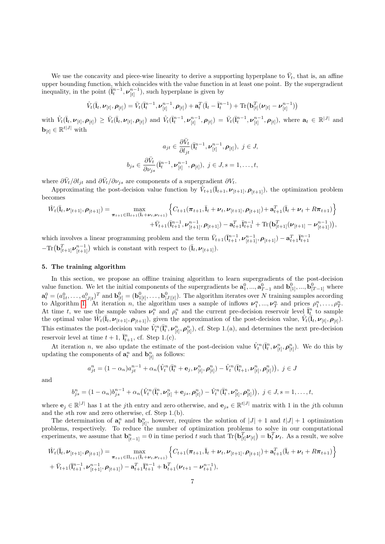We use the concavity and piece-wise linearity to derive a supporting hyperplane to  $\bar{V}_t$ , that is, an affine upper bounding function, which coincides with the value function in at least one point. By the supergradient inequality, in the point  $(\bar{l}_t^{n-1}, \nu_{[t]}^{n-1})$ , such hyperplane is given by

$$
\hat{V}_t(\bar{l}_t, \nu_{[t]}, \rho_{[t]}) = \bar{V}_t(\bar{l}_t^{n-1}, \nu_{[t]}^{n-1}, \rho_{[t]}) + \mathbf{a}_t^T(\bar{l}_t - \bar{l}_t^{n-1}) + \text{Tr}(\mathbf{b}_{[t]}^T(\nu_{[t]} - \nu_{[t]}^{n-1}))
$$

with  $\hat{V}_t(\bar{l}_t, \nu_{[t]}, \rho_{[t]}) \geq \bar{V}_t(\bar{l}_t, \nu_{[t]}, \rho_{[t]})$  and  $\hat{V}_t(\bar{l}_t^{n-1}, \nu_{[t]}^{n-1}, \rho_{[t]}) = \bar{V}_t(\bar{l}_t^{n-1}, \nu_{[t]}^{n-1}, \rho_{[t]})$ , where  $\mathbf{a}_t \in \mathbb{R}^{|J|}$  and  $\mathbf{b}_{[t]} \in \mathbb{R}^{t|J|}$  with

$$
a_{jt} \in \frac{\partial \bar{V}_t}{\partial l_{jt}}(\bar{l}_t^{n-1}, \nu_{[t]}^{n-1}, \rho_{[t]}), \ j \in J,
$$
  

$$
b_{js} \in \frac{\partial \bar{V}_t}{\partial \nu_{js}}(\bar{l}_t^{n-1}, \nu_{[t]}^{n-1}, \rho_{[t]}), \ j \in J, s = 1, \dots, t,
$$

where  $\partial \bar{V}_t / \partial l_{jt}$  and  $\partial \bar{V}_t / \partial \nu_{js}$  are components of a supergradient  $\partial V_t$ .

Approximating the post-decision value function by  $\hat{V}_{t+1}(\bar{l}_{t+1}, \nu_{[t+1]}, \rho_{[t+1]})$ , the optimization problem becomes

$$
\hat{W}_{t}(\bar{\mathbf{I}}_{t},\nu_{[t+1]},\rho_{[t+1]}) = \max_{\boldsymbol{\pi}_{t+1} \in \Pi_{t+1}(\bar{\mathbf{I}}_{t} + \nu_{t},\nu_{t+1})} \left\{ C_{t+1}(\boldsymbol{\pi}_{t+1},\bar{\mathbf{I}}_{t} + \nu_{t},\nu_{[t+1]},\rho_{[t+1]}) + \mathbf{a}_{t+1}^{T}(\bar{\mathbf{I}}_{t} + \nu_{t} + R\boldsymbol{\pi}_{t+1}) \right\} + \bar{V}_{t+1}(\bar{\mathbf{I}}_{t+1}^{n-1},\nu_{[t+1]}^{n-1},\rho_{[t+1]}) - \mathbf{a}_{t+1}^{T} \bar{\mathbf{I}}_{t+1}^{n-1} + \text{Tr}(\mathbf{b}_{[t+1]}^{T}(\nu_{[t+1]} - \nu_{[t+1]}^{n-1})),
$$

which involves a linear programming problem and the term  $\bar{V}_{t+1}(\bar{l}_{t+1}^{n-1}, \nu_{[t+1]}^{n-1}, \rho_{[t+1]}) - \mathbf{a}_{t+1}^T \bar{l}_{t+1}^{n-1}$  $-\text{Tr}\left(\mathbf{b}_{[t+1]}^T \boldsymbol{\nu}_{[t+1]}^{n-1}\right)$  which is constant with respect to  $(\bar{\mathbf{l}}_t, \boldsymbol{\nu}_{[t+1]})$ .

## <span id="page-6-0"></span>5. The training algorithm

In this section, we propose an offline training algorithm to learn supergradients of the post-decision value function. We let the initial components of the supergradients be  $\mathbf{a}_1^0, ..., \mathbf{a}_{T-1}^0$  and  $\mathbf{b}_{[1]}^0, ..., \mathbf{b}_{[T-1]}^0$  where  $\mathbf{a}_t^0 = (a_{1t}^0, \ldots, a_{|J|t}^0)^T$  and  $\mathbf{b}_{[t]}^0 = (\mathbf{b}_{1[t]}^0, \ldots, \mathbf{b}_{|J|[t]}^0)$ . The algorithm iterates over N training samples according to Algorithm [1.](#page-7-1) At iteration *n*, the algorithm uses a sample of inflows  $\nu_1^n, ..., \nu_T^n$  and prices  $\rho_1^n, ..., \rho_T^n$ . At time t, we use the sample values  $\nu_t^n$  and  $\rho_t^n$  and the current pre-decision reservoir level  $\overline{l}_t^n$  to sample the optimal value  $\hat{W}_t(\bar{\mathbf{I}}_t, \nu_{[t+1]}, \rho_{[t+1]})$ , given the approximation of the post-decision value,  $\hat{V}_t(\bar{\mathbf{I}}_t, \nu_{[t]}, \rho_{[t]})$ . This estimates the post-decision value  $\hat{V}_t^n(\bar{l}_t^n, \nu_{[t]}^n, \rho_{[t]}^n)$ , cf. Step 1.(a), and determines the next pre-decision reservoir level at time  $t + 1$ ,  $\overline{1}_{t+1}^n$ , cf. Step 1.(c).

At iteration *n*, we also update the estimate of the post-decision value  $\hat{V}_t^n(\bar{l}_t^n, \nu_{[t]}^n, \rho_{[t]}^n)$ . We do this by updating the components of  $\mathbf{a}_t^n$  and  $\mathbf{b}_{[t]}^n$  as follows:

$$
a_{jt}^{n} = (1 - \alpha_n)a_{jt}^{n-1} + \alpha_n(\hat{V}_t^n(\bar{I}_t^n + \mathbf{e}_j, \nu_{[t]}^n, \boldsymbol{\rho}_{[t]}^n) - \hat{V}_t^n(\bar{I}_{t+1}^n, \nu_{[t]}^n, \boldsymbol{\rho}_{[t]}^n)), \ j \in J
$$

and

$$
b_{js}^{n} = (1 - \alpha_{n})b_{js}^{n-1} + \alpha_{n}(\hat{V}_{t}^{n}(\bar{l}_{t}^{n}, \nu_{[t]}^{n} + \mathbf{e}_{js}, \rho_{[t]}^{n}) - \hat{V}_{t}^{n}(\bar{l}_{t}^{n}, \nu_{[t]}^{n}, \rho_{[t]}^{n})), \quad j \in J, s = 1, \ldots, t,
$$

where  $\mathbf{e}_j \in \mathbb{R}^{|J|}$  has 1 at the *j*th entry and zero otherwise, and  $\mathbf{e}_{js} \in \mathbb{R}^{|I|}$  matrix with 1 in the *j*th column and the sth row and zero otherwise, cf. Step 1.(b).

The determination of  $\mathbf{a}_t^n$  and  $\mathbf{b}_{[t]}^n$ , however, requires the solution of  $|J|+1$  and  $t|J|+1$  optimization problems, respectively. To reduce the number of optimization problems to solve in our computational experiments, we assume that  $\mathbf{b}_{[t-1]}^n = 0$  in time period t such that  $\text{Tr}(\mathbf{b}_{[t]}^T \boldsymbol{\nu}_{[t]}) = \mathbf{b}_t^T \boldsymbol{\nu}_t$ . As a result, we solve

$$
\hat{W}_{t}(\bar{\mathbf{l}}_{t},\nu_{[t+1]},\rho_{[t+1]}) = \max_{\boldsymbol{\pi}_{t+1} \in \Pi_{t+1}(\bar{\mathbf{l}}_{t} + \nu_{t},\nu_{t+1})} \left\{ C_{t+1}(\boldsymbol{\pi}_{t+1},\bar{\mathbf{l}}_{t} + \nu_{t},\nu_{[t+1]},\rho_{[t+1]}) + \mathbf{a}_{t+1}^{T}(\bar{\mathbf{l}}_{t} + \nu_{t} + R\boldsymbol{\pi}_{t+1}) \right\} + \bar{V}_{t+1}(\bar{\mathbf{l}}_{t+1}^{n-1},\nu_{[t+1]}^{n-1},\rho_{[t+1]}) - \mathbf{a}_{t+1}^{T} \bar{\mathbf{l}}_{t+1}^{n-1} + \mathbf{b}_{t+1}^{T}(\nu_{t+1} - \nu_{t+1}^{n-1}),
$$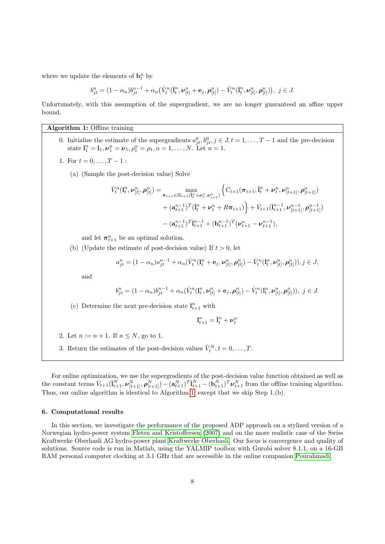where we update the elements of  $\mathbf{b}_t^n$  by

$$
b_{jt}^n=(1-\alpha_n)b_{jt}^{n-1}+\alpha_n\big(\hat{V}_t^n(\bar{\mathbf{I}}_t^n,\pmb{\nu}_{[t]}^n+\mathbf{e}_j,\pmb{\rho}_{[t]}^n)-\hat{V}_t^n(\bar{\mathbf{I}}_t^n,\pmb{\nu}_{[t]}^n,\pmb{\rho}_{[t]}^n)\big),\ j\in J.
$$

Unfortunately, with this assumption of the supergradient, we are no longer guaranteed an affine upper bound.

# Algorithm 1: Offline training

- <span id="page-7-1"></span>0. Initialize the estimate of the supergradients  $a_{jt}^0, b_{jt}^0, j \in J, t = 1, \ldots, T-1$  and the pre-decision state  $I_1^n = I_1, \nu_1^n = \nu_1, \rho_1^n = \rho_1, n = 1, ..., N$ . Let  $n = 1$ .
- 1. For  $t = 0, \ldots, T-1$ :
	- (a) (Sample the post-decision value) Solve

$$
\hat{V}_t^n(\mathbf{l}_t^n, \boldsymbol{\nu}_{[t]}^n, \boldsymbol{\rho}_{[t]}^n) = \max_{\boldsymbol{\pi}_{t+1} \in \Pi_{t+1}(\bar{\mathbf{l}}_t^n + \boldsymbol{\nu}_t^n, \boldsymbol{\nu}_{t+1}^n)} \left\{ C_{t+1}(\boldsymbol{\pi}_{t+1}, \bar{\mathbf{l}}_t^n + \boldsymbol{\nu}_t^n, \boldsymbol{\nu}_{[t+1]}^n, \boldsymbol{\rho}_{[t+1]}^n) + (\mathbf{a}_{t+1}^{n-1})^T (\bar{\mathbf{l}}_t^n + \boldsymbol{\nu}_t^n + R\boldsymbol{\pi}_{t+1}) \right\} + \bar{V}_{t+1}(\bar{\mathbf{l}}_{t+1}^{n-1}, \boldsymbol{\nu}_{[t+1]}^{n-1}, \boldsymbol{\rho}_{[t+1]}^{n-1}) - (\mathbf{a}_{t+1}^{n-1})^T \bar{\mathbf{l}}_{t+1}^{n-1} + (\mathbf{b}_{t+1}^{n-1})^T (\boldsymbol{\nu}_{t+1}^n - \boldsymbol{\nu}_{t+1}^{n-1}),
$$

and let  $\pi_{t+1}^n$  be an optimal solution.

(b) (Update the estimate of post-decision value) If  $t > 0$ , let

$$
a_{jt}^{n} = (1 - \alpha_{n})a_{jt}^{n-1} + \alpha_{n}(\hat{V}_{t}^{n}(\mathbf{l}_{t}^{n} + \mathbf{e}_{j}, \boldsymbol{\nu}_{[t]}^{n}, \boldsymbol{\rho}_{[t]}^{n}) - \hat{V}_{t}^{n}(\mathbf{l}_{t}^{n}, \boldsymbol{\nu}_{[t]}^{n}, \boldsymbol{\rho}_{[t]}^{n})), j \in J,
$$

and

$$
b_{jt}^n = (1 - \alpha_n)b_{jt}^{n-1} + \alpha_n(\hat{V}_t^n(\mathbf{l}_t^n, \nu_{[t]}^n + \mathbf{e}_j, \rho_{[t]}^n) - \hat{V}_t^n(\mathbf{l}_t^n, \nu_{[t]}^n, \rho_{[t]}^n)), \ j \in J.
$$

(c) Determine the next pre-decision state  $\mathbf{l}_{t+1}^n$  with

$$
\mathbf{l}^n_{t+1} = \bar{\mathbf{l}}^n_t + \boldsymbol{\nu}^n_t
$$

- 2. Let  $n := n + 1$ . If  $n \leq N$ , go to 1.
- 3. Return the estimates of the post-decision values  $\hat{V}_t^N, t = 0, \ldots, T$ .

For online optimization, we use the supergradients of the post-decision value function obtained as well as the constant terms  $\bar{V}_{t+1}(\bar{l}_{t+1}^N, \nu_{[t+1]}^N, \rho_{[t+1]}^N) - (\mathbf{a}_{t+1}^N)^T \bar{l}_{t+1}^N - (\mathbf{b}_{t+1}^N)^T \nu_{t+1}^N$  from the offline training algorithm. Thus, our online algorithm is identical to Algorithm [1,](#page-7-1) except that we skip Step 1.(b).

# <span id="page-7-0"></span>6. Computational results

In this section, we investigate the performance of the proposed ADP approach on a stylized version of a Norwegian hydro-power system [Fleten and Kristoffersen \(2007\)](#page-16-1) and on the more realistic case of the Swiss Kraftwerke Oberhasli AG hydro-power plant [Kraftwerke Oberhasli.](#page-16-19) Our focus is convergence and quality of solutions. Source code is run in Matlab, using the YALMIP toolbox with Gurobi solver 8.1.1, on a 16-GB RAM personal computer clocking at 3.1 GHz that are accessible in the online companion [Pourahmadi.](#page-16-20)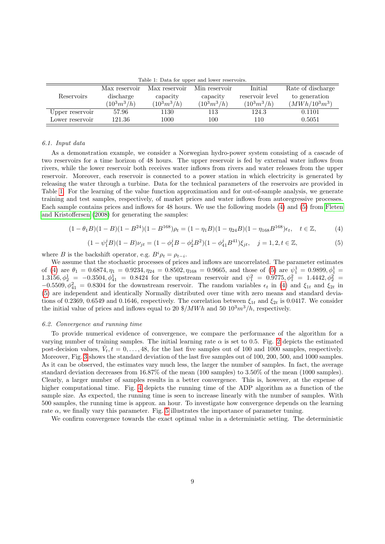| rapic 1. Data for appel and lower reservoirs. |                |                |                |                 |                   |
|-----------------------------------------------|----------------|----------------|----------------|-----------------|-------------------|
|                                               | Max reservoir  | Max reservoir  | Min reservoir  | Initial         | Rate of discharge |
| Reservoirs                                    | discharge      | capacity       | capacity       | reservoir level | to generation     |
|                                               | $(10^3 m^3/h)$ | $(10^3 m^3/h)$ | $(10^3 m^3/h)$ | $(10^3 m^3/h)$  | $(MWh/10^3m^3)$   |
| Upper reservoir                               | 57.96          | 1130           | 113            | 124.3           | 0.1101            |
| Lower reservoir                               | 121.36         | 1000           | 100            | 110             | 0.5051            |

<span id="page-8-0"></span>Table 1: Data for upper and lower reservoir.

#### 6.1. Input data

As a demonstration example, we consider a Norwegian hydro-power system consisting of a cascade of two reservoirs for a time horizon of 48 hours. The upper reservoir is fed by external water inflows from rivers, while the lower reservoir both receives water inflows from rivers and water releases from the upper reservoir. Moreover, each reservoir is connected to a power station in which electricity is generated by releasing the water through a turbine. Data for the technical parameters of the reservoirs are provided in Table [1.](#page-8-0) For the learning of the value function approximation and for out-of-sample analysis, we generate training and test samples, respectively, of market prices and water inflows from autoregressive processes. Each sample contains prices and inflows for 48 hours. We use the following models [\(4\)](#page-8-1) and [\(5\)](#page-8-2) from [Fleten](#page-16-0) [and Kristoffersen \(2008\)](#page-16-0) for generating the samples:

<span id="page-8-1"></span>
$$
(1 - \theta_1 B)(1 - B)(1 - B^{24})(1 - B^{168})\rho_t = (1 - \eta_1 B)(1 - \eta_{24} B)(1 - \eta_{168} B^{168})\epsilon_t, \quad t \in \mathbb{Z},
$$
 (4)

<span id="page-8-2"></span>
$$
(1 - \psi_1^j B)(1 - B)\nu_{jt} = (1 - \phi_1^j B - \phi_2^j B^2)(1 - \phi_{41}^j B^{41})\xi_{jt}, \quad j = 1, 2, t \in \mathbb{Z},
$$
\n<sup>(5)</sup>

where B is the backshift operator, e.g.  $B^i \rho_t = \rho_{t-i}$ .

We assume that the stochastic processes of prices and inflows are uncorrelated. The parameter estimates of [\(4\)](#page-8-1) are  $\theta_1 = 0.6874, \eta_1 = 0.9234, \eta_{24} = 0.8502, \eta_{168} = 0.9665$ , and those of [\(5\)](#page-8-2) are  $\psi_1^1 = 0.9899, \phi_1^1 = 0.9899$ 1.3156,  $\phi_2^1 = -0.3504$ ,  $\phi_{41}^1 = 0.8424$  for the upstream reservoir and  $\psi_1^2 = 0.9775$ ,  $\phi_1^2 = 1.4442$ ,  $\phi_2^2 =$  $-0.5509, \phi_{41}^2 = 0.8304$  for the downstream reservoir. The random variables  $\epsilon_t$  in [\(4\)](#page-8-1) and  $\xi_{1t}$  and  $\xi_{2t}$  in [\(5\)](#page-8-2) are independent and identically Normally distributed over time with zero means and standard deviations of 0.2369, 0.6549 and 0.1646, respectively. The correlation between  $\xi_{1t}$  and  $\xi_{2t}$  is 0.0417. We consider the initial value of prices and inflows equal to 20  $\frac{8}{MWh}$  and 50  $10^3m^3/h$ , respectively.

#### 6.2. Convergence and running time

To provide numerical evidence of convergence, we compare the performance of the algorithm for a varying number of training samples. The initial learning rate  $\alpha$  is set to 0.5. Fig. [2](#page-9-0) depicts the estimated post-decision values,  $\hat{V}_t, t = 0, \ldots, 48$ , for the last five samples out of 100 and 1000 samples, respectively. Moreover, Fig. [3](#page-9-1) shows the standard deviation of the last five samples out of 100, 200, 500, and 1000 samples. As it can be observed, the estimates vary much less, the larger the number of samples. In fact, the average standard deviation decreases from 16.87% of the mean (100 samples) to 3.50% of the mean (1000 samples). Clearly, a larger number of samples results in a better convergence. This is, however, at the expense of higher computational time. Fig. [4](#page-10-0) depicts the running time of the ADP algorithm as a function of the sample size. As expected, the running time is seen to increase linearly with the number of samples. With 500 samples, the running time is approx. an hour. To investigate how convergence depends on the learning rate  $\alpha$ , we finally vary this parameter. Fig. [5](#page-11-0) illustrates the importance of parameter tuning.

We confirm convergence towards the exact optimal value in a deterministic setting. The deterministic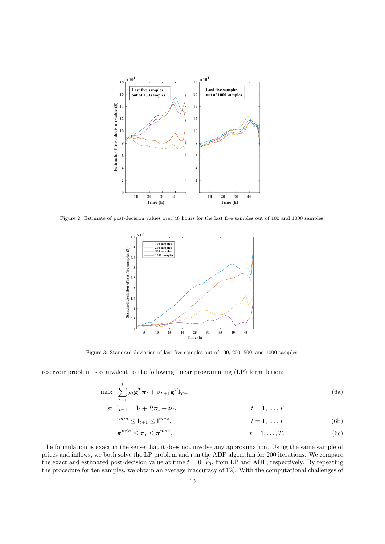

<span id="page-9-0"></span>Figure 2: Estimate of post-decision values over 48 hours for the last five samples out of 100 and 1000 samples.



<span id="page-9-1"></span>Figure 3: Standard deviation of last five samples out of 100, 200, 500, and 1000 samples.

reservoir problem is equivalent to the following linear programming (LP) formulation:

$$
\max \sum_{t=1}^{T} \rho_t \mathbf{g}^T \boldsymbol{\pi}_t + \rho_{T+1} \mathbf{g}^T \mathbf{l}_{T+1}
$$
\n(6a)

$$
\text{st} \quad \mathbf{l}_{t+1} = \mathbf{l}_t + R\boldsymbol{\pi}_t + \boldsymbol{\nu}_t, \qquad t = 1, \dots, T
$$

<span id="page-9-2"></span>
$$
1^{min} \le l_{t+1} \le 1^{max}, \qquad t = 1, \dots, T \tag{6b}
$$

$$
\pi^{min} \leq \pi_t \leq \pi^{max}, \qquad t = 1, \dots, T. \tag{6c}
$$

The formulation is exact in the sense that it does not involve any approximation. Using the same sample of prices and inflows, we both solve the LP problem and run the ADP algorithm for 200 iterations. We compare the exact and estimated post-decision value at time  $t = 0$ ,  $\hat{V}_0$ , from LP and ADP, respectively. By repeating the procedure for ten samples, we obtain an average inaccuracy of 1%. With the computational challenges of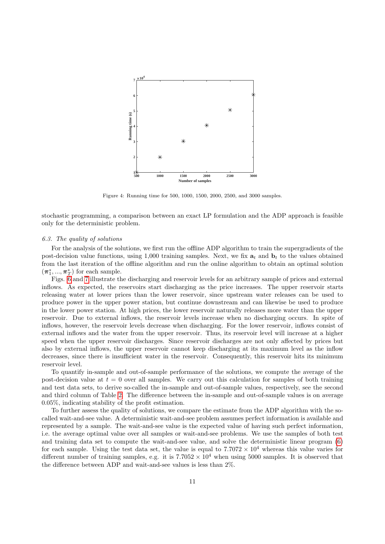

<span id="page-10-0"></span>Figure 4: Running time for 500, 1000, 1500, 2000, 2500, and 3000 samples.

stochastic programming, a comparison between an exact LP formulation and the ADP approach is feasible only for the deterministic problem.

#### 6.3. The quality of solutions

For the analysis of the solutions, we first run the offline ADP algorithm to train the supergradients of the post-decision value functions, using 1,000 training samples. Next, we fix  $a_t$  and  $b_t$  to the values obtained from the last iteration of the offline algorithm and run the online algorithm to obtain an optimal solution  $(\pmb{\pi}^*_1,...,\pmb{\pi}^*_T)$  for each sample.

Figs. [6](#page-11-1) and [7](#page-12-0) illustrate the discharging and reservoir levels for an arbitrary sample of prices and external inflows. As expected, the reservoirs start discharging as the price increases. The upper reservoir starts releasing water at lower prices than the lower reservoir, since upstream water releases can be used to produce power in the upper power station, but continue downstream and can likewise be used to produce in the lower power station. At high prices, the lower reservoir naturally releases more water than the upper reservoir. Due to external inflows, the reservoir levels increase when no discharging occurs. In spite of inflows, however, the reservoir levels decrease when discharging. For the lower reservoir, inflows consist of external inflows and the water from the upper reservoir. Thus, its reservoir level will increase at a higher speed when the upper reservoir discharges. Since reservoir discharges are not only affected by prices but also by external inflows, the upper reservoir cannot keep discharging at its maximum level as the inflow decreases, since there is insufficient water in the reservoir. Consequently, this reservoir hits its minimum reservoir level.

To quantify in-sample and out-of-sample performance of the solutions, we compute the average of the post-decision value at  $t = 0$  over all samples. We carry out this calculation for samples of both training and test data sets, to derive so-called the in-sample and out-of-sample values, respectively, see the second and third column of Table [2.](#page-12-1) The difference between the in-sample and out-of-sample values is on average 0.05%, indicating stability of the profit estimation.

To further assess the quality of solutions, we compare the estimate from the ADP algorithm with the socalled wait-and-see value. A deterministic wait-and-see problem assumes perfect information is available and represented by a sample. The wait-and-see value is the expected value of having such perfect information, i.e. the average optimal value over all samples or wait-and-see problems. We use the samples of both test and training data set to compute the wait-and-see value, and solve the deterministic linear program [\(6\)](#page-9-2) for each sample. Using the test data set, the value is equal to  $7.7072 \times 10^4$  whereas this value varies for different number of training samples, e.g. it is  $7.7052 \times 10^4$  when using 5000 samples. It is observed that the difference between ADP and wait-and-see values is less than 2%.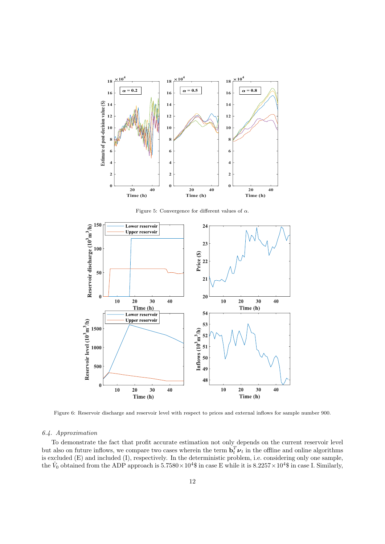

<span id="page-11-0"></span>Figure 5: Convergence for different values of  $\alpha$ .



<span id="page-11-1"></span>Figure 6: Reservoir discharge and reservoir level with respect to prices and external inflows for sample number 900.

# 6.4. Approximation

To demonstrate the fact that profit accurate estimation not only depends on the current reservoir level but also on future inflows, we compare two cases wherein the term  $\mathbf{b}_t^T \boldsymbol{\nu}_t$  in the offline and online algorithms is excluded (E) and included (I), respectively. In the deterministic problem, i.e. considering only one sample, the  $\hat{V}_0$  obtained from the ADP approach is  $5.7580 \times 10^4$  in case E while it is  $8.2257 \times 10^4$  in case I. Similarly,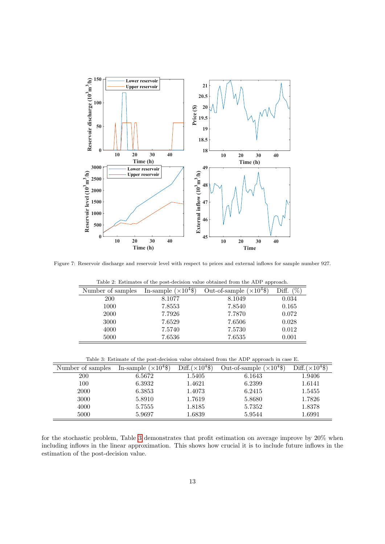

<span id="page-12-0"></span>Figure 7: Reservoir discharge and reservoir level with respect to prices and external inflows for sample number 927.

| rable 2. Estimates of the post-decision value obtained from the ADT approach. |                              |                                  |              |  |  |
|-------------------------------------------------------------------------------|------------------------------|----------------------------------|--------------|--|--|
| Number of samples                                                             | In-sample $(\times 10^4$ \$) | Out-of-sample $(\times 10^4$ \$) | Diff. $(\%)$ |  |  |
| 200                                                                           | 8.1077                       | 8.1049                           | 0.034        |  |  |
| 1000                                                                          | 7.8553                       | 7.8540                           | 0.165        |  |  |
| <b>2000</b>                                                                   | 7.7926                       | 7.7870                           | 0.072        |  |  |
| 3000                                                                          | 7.6529                       | 7.6506                           | 0.028        |  |  |
| 4000                                                                          | 7.5740                       | 7.5730                           | 0.012        |  |  |
| 5000                                                                          | 7.6536                       | 7.6535                           | 0.001        |  |  |

<span id="page-12-1"></span>Table 2: Estimates of the post-decision value obtained from the ADP approach.

<span id="page-12-2"></span>Table 3: Estimate of the post-decision value obtained from the ADP approach in case E.

| Number of samples | In-sample $(\times 10^4\$ | Diff. $(\times 10^4$ \$) | Out-of-sample $(\times 10^4$ \$) | Diff. $(\times 10^4$ \$) |
|-------------------|---------------------------|--------------------------|----------------------------------|--------------------------|
| <b>200</b>        | 6.5672                    | 1.5405                   | 6.1643                           | 1.9406                   |
| 100               | 6.3932                    | 1.4621                   | 6.2399                           | 1.6141                   |
| <b>2000</b>       | 6.3853                    | 1.4073                   | 6.2415                           | 1.5455                   |
| 3000              | 5.8910                    | 1.7619                   | 5.8680                           | 1.7826                   |
| 4000              | 5.7555                    | 1.8185                   | 5.7352                           | 1.8378                   |
| 5000              | 5.9697                    | 1.6839                   | 5.9544                           | 1.6991                   |

for the stochastic problem, Table [3](#page-12-2) demonstrates that profit estimation on average improve by 20% when including inflows in the linear approximation. This shows how crucial it is to include future inflows in the estimation of the post-decision value.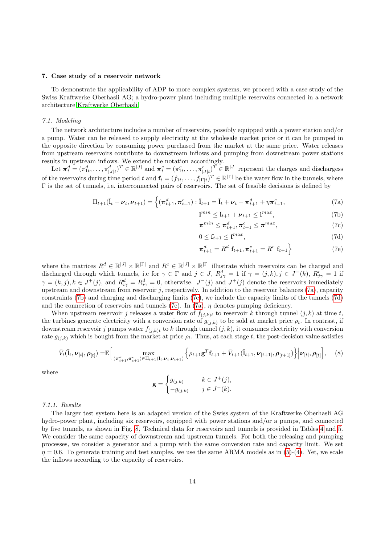## <span id="page-13-0"></span>7. Case study of a reservoir network

To demonstrate the applicability of ADP to more complex systems, we proceed with a case study of the Swiss Kraftwerke Oberhasli AG; a hydro-power plant including multiple reservoirs connected in a network architecture [Kraftwerke Oberhasli.](#page-16-19)

#### 7.1. Modeling

The network architecture includes a number of reservoirs, possibly equipped with a power station and/or a pump. Water can be released to supply electricity at the wholesale market price or it can be pumped in the opposite direction by consuming power purchased from the market at the same price. Water releases from upstream reservoirs contribute to downstream inflows and pumping from downstream power stations results in upstream inflows. We extend the notation accordingly.

Let  $\boldsymbol{\pi}_t^d = (\pi_{1t}^d, \ldots, \pi_{|J|t}^d)^T \in \mathbb{R}^{|J|}$  and  $\boldsymbol{\pi}_t^c = (\pi_{1t}^c, \ldots, \pi_{|J|t}^c)^T \in \mathbb{R}^{|J|}$  represent the charges and dischargess of the reservoirs during time period t and  $\mathbf{f}_t = (f_{1t}, \dots, f_{|\Gamma|t})^T \in \mathbb{R}^{|\Gamma|}$  be the water flow in the tunnels, where Γ is the set of tunnels, i.e. interconnected pairs of reservoirs. The set of feasible decisions is defined by

$$
\Pi_{t+1}(\bar{\mathbf{I}}_t + \boldsymbol{\nu}_t, \boldsymbol{\nu}_{t+1}) = \left\{ (\boldsymbol{\pi}_{t+1}^d, \boldsymbol{\pi}_{t+1}^c) : \bar{\mathbf{I}}_{t+1} = \bar{\mathbf{I}}_t + \boldsymbol{\nu}_t - \boldsymbol{\pi}_{t+1}^d + \eta \boldsymbol{\pi}_{t+1}^c, \right\}
$$
(7a)

<span id="page-13-3"></span><span id="page-13-2"></span><span id="page-13-1"></span>
$$
\mathbf{l}^{min} \le \bar{\mathbf{l}}_{t+1} + \boldsymbol{\nu}_{t+1} \le \mathbf{l}^{max},\tag{7b}
$$

<span id="page-13-4"></span>
$$
\boldsymbol{\pi}^{min} \leq \boldsymbol{\pi}_{t+1}^d, \boldsymbol{\pi}_{t+1}^c \leq \boldsymbol{\pi}^{max},\tag{7c}
$$

$$
0 \le \mathbf{f}_{t+1} \le \mathbf{f}^{max},\tag{7d}
$$

<span id="page-13-6"></span><span id="page-13-5"></span>
$$
\boldsymbol{\pi}_{t+1}^d = R^d \mathbf{f}_{t+1}, \boldsymbol{\pi}_{t+1}^c = R^c \mathbf{f}_{t+1} \tag{7e}
$$

where the matrices  $R^d \in \mathbb{R}^{|J|} \times \mathbb{R}^{|\Gamma|}$  and  $R^c \in \mathbb{R}^{|J|} \times \mathbb{R}^{|\Gamma|}$  illustrate which reservoirs can be charged and discharged through which tunnels, i.e for  $\gamma \in \Gamma$  and  $j \in J$ ,  $R_{j\gamma}^d = 1$  if  $\gamma = (j,k)$ ,  $j \in J^-(k)$ ,  $R_{j\gamma}^c = 1$  if  $\gamma = (k, j), k \in J^+(j)$ , and  $R_{i\gamma}^d = R_{i\gamma}^d = 0$ , otherwise.  $J^-(j)$  and  $J^+(j)$  denote the reservoirs immediately upstream and downstream from reservoir  $j$ , respectively. In addition to the reservoir balances [\(7a\)](#page-13-1), capacity constraints [\(7b\)](#page-13-2) and charging and discharging limits [\(7c\)](#page-13-3), we include the capacity limits of the tunnels [\(7d\)](#page-13-4) and the connection of reservoirs and tunnels [\(7e\)](#page-13-5). In [\(7a\)](#page-13-1),  $\eta$  denotes pumping deficiency.

When upstream reservoir j releases a water flow of  $f_{(j,k)t}$  to reservoir k through tunnel  $(j, k)$  at time t, the turbines generate electricity with a conversion rate of  $g_{(j,k)}$  to be sold at market price  $\rho_t$ . In contrast, if downstream reservoir j pumps water  $f_{(i,k)t}$  to k through tunnel  $(j, k)$ , it consumes electricity with conversion rate  $g_{(i,k)}$  which is bought from the market at price  $\rho_t$ . Thus, at each stage t, the post-decision value satisfies

$$
\bar{V}_t(\bar{l}_t, \nu_{[t]}, \rho_{[t]}) = \mathbb{E}\Big[\max_{(\pi_{t+1}^d, \pi_{t+1}^c) \in \Pi_{t+1}(\bar{l}_t, \nu_t, \nu_{t+1})} \left\{\rho_{t+1} \mathbf{g}^T \mathbf{f}_{t+1} + \bar{V}_{t+1}(\bar{l}_{t+1}, \nu_{[t+1]}, \rho_{[t+1]})\right\} \big| \nu_{[t]}, \rho_{[t]}\Big], \quad (8)
$$

where

$$
\mathbf{g} = \begin{cases} g_{(j,k)} & k \in J^+(j), \\ -g_{(j,k)} & j \in J^-(k). \end{cases}
$$

#### 7.1.1. Results

The larger test system here is an adapted version of the Swiss system of the Kraftwerke Oberhasli AG hydro-power plant, including six reservoirs, equipped with power stations and/or a pumps, and connected by five tunnels, as shown in Fig. [8.](#page-14-0) Technical data for reservoirs and tunnels is provided in Tables [4](#page-14-1) and [5.](#page-14-2) We consider the same capacity of downstream and upstream tunnels. For both the releasing and pumping processes, we consider a generator and a pump with the same conversion rate and capacity limit. We set  $\eta = 0.6$ . To generate training and test samples, we use the same ARMA models as in [\(5\)](#page-8-2)-[\(4\)](#page-8-1). Yet, we scale the inflows according to the capacity of reservoirs.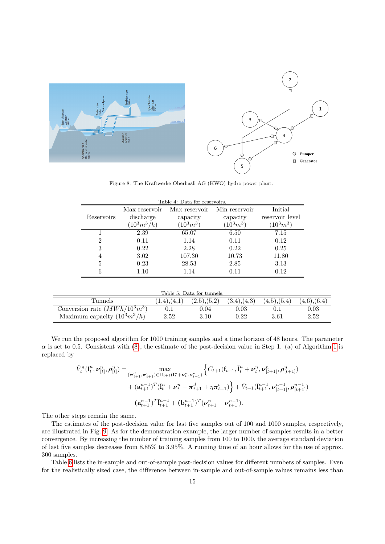

<span id="page-14-0"></span>Figure 8: The Kraftwerke Oberhasli AG (KWO) hydro power plant.

| Table 4: Data for reservoirs. |                |               |               |                 |  |
|-------------------------------|----------------|---------------|---------------|-----------------|--|
|                               | Max reservoir  | Max reservoir | Min reservoir | Initial         |  |
| Reservoirs                    | discharge      | capacity      | capacity      | reservoir level |  |
|                               | $(10^3 m^3/h)$ | $(10^3 m^3)$  | $(10^3 m^3)$  | $(10^3 m^3)$    |  |
|                               | 2.39           | 65.07         | 6.50          | 7.15            |  |
| $\overline{2}$                | 0.11           | 1.14          | 0.11          | 0.12            |  |
| 3                             | 0.22           | 2.28          | 0.22          | 0.25            |  |
| 4                             | 3.02           | 107.30        | 10.73         | 11.80           |  |
| 5                             | 0.23           | 28.53         | 2.85          | 3.13            |  |
| 6                             | 1.10           | 1.14          | 0.11          | 0.12            |  |

<span id="page-14-1"></span>Table 4: Data for reservoirs.

<span id="page-14-2"></span>

|  |  | Table 5: Data for tunnels. |
|--|--|----------------------------|

|                                 |                   | таріє д. Дава ют виннеіз. |                   |             |             |
|---------------------------------|-------------------|---------------------------|-------------------|-------------|-------------|
| Tunnels                         | $(1,4)$ , $(4,1)$ | (2,5),(5,2)               | $(3,4)$ , $(4,3)$ | (4.5),(5.4) | (4.6),(6.4) |
| Conversion rate $(MWh/10^3m^3)$ |                   | 0.04                      | 0.03              |             | 0.03        |
| Maximum capacity $(10^3m^3/h)$  | $2.52\,$          | $3.10\,$                  |                   | $3.61\,$    | 2.52        |

We run the proposed algorithm for 1000 training samples and a time horizon of 48 hours. The parameter  $\alpha$  is set to 0.5. Consistent with [\(8\)](#page-13-6), the estimate of the post-decision value in Step [1](#page-7-1). (a) of Algorithm 1 is replaced by

$$
\hat{V}_{t}^{n}(\mathbf{l}_{t}^{n}, \boldsymbol{\nu}_{[t]}^{n}, \boldsymbol{\rho}_{[t]}^{n}) = \max_{(\boldsymbol{\pi}_{t+1}^{d}, \boldsymbol{\pi}_{t+1}^{c}) \in \Pi_{t+1}(\bar{\mathbf{l}}_{t}^{n} + \boldsymbol{\nu}_{t}^{n}, \boldsymbol{\nu}_{t+1}^{n})} \left\{ C_{t+1}(\mathbf{f}_{t+1}, \bar{\mathbf{l}}_{t}^{n} + \boldsymbol{\nu}_{t}^{n}, \boldsymbol{\nu}_{[t+1]}^{n}, \boldsymbol{\rho}_{[t+1]}^{n}) + (\mathbf{a}_{t+1}^{n-1})^{T} (\bar{\mathbf{l}}_{t}^{n} + \boldsymbol{\nu}_{t}^{n} - \boldsymbol{\pi}_{t+1}^{d} + \eta \boldsymbol{\pi}_{t+1}^{c}) \right\} + \bar{V}_{t+1}(\bar{\mathbf{l}}_{t+1}^{n-1}, \boldsymbol{\nu}_{[t+1]}^{n-1}, \boldsymbol{\rho}_{[t+1]}^{n-1}) - (\mathbf{a}_{t+1}^{n-1})^{T} \bar{\mathbf{l}}_{t+1}^{n-1} + (\mathbf{b}_{t+1}^{n-1})^{T} (\boldsymbol{\nu}_{t+1}^{n} - \boldsymbol{\nu}_{t+1}^{n-1}).
$$

The other steps remain the same.

The estimates of the post-decision value for last five samples out of 100 and 1000 samples, respectively, are illustrated in Fig. [9.](#page-15-1) As for the demonstration example, the larger number of samples results in a better convergence. By increasing the number of training samples from 100 to 1000, the average standard deviation of last five samples decreases from 8.85% to 3.95%. A running time of an hour allows for the use of approx. 300 samples.

Table [6](#page-15-2) lists the in-sample and out-of-sample post-decision values for different numbers of samples. Even for the realistically sized case, the difference between in-sample and out-of-sample values remains less than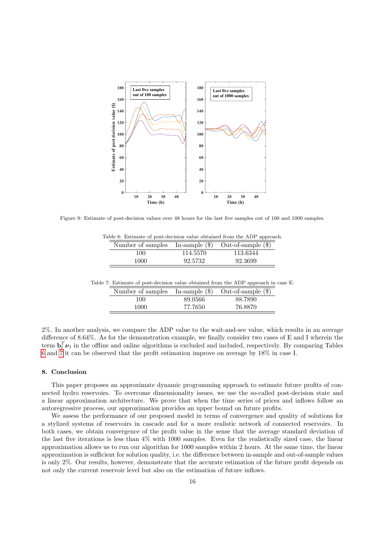

<span id="page-15-1"></span>Figure 9: Estimate of post-decision values over 48 hours for the last five samples out of 100 and 1000 samples.

Table 6: Estimate of post-decision value obtained from the ADP approach.

<span id="page-15-2"></span>

| Number of samples In-sample $(\$)$ |          | Out-of-sample $(\$)$ |
|------------------------------------|----------|----------------------|
| 100                                | 114.5570 | 113.6344             |
| 1000                               | 92.5732  | 92.3699              |

Table 7: Estimate of post-decision value obtained from the ADP approach in case E.

<span id="page-15-3"></span>

| Number of samples In-sample $(\$)$ |         | Out-of-sample $(\$)$ |
|------------------------------------|---------|----------------------|
| 100                                | 89.0566 | 88.7890              |
| 1000                               | 77.7650 | 76.8870              |

2%. In another analysis, we compare the ADP value to the wait-and-see value, which results in an average difference of 8.64%. As for the demonstration example, we finally consider two cases of E and I wherein the term  $\mathbf{b}_t^T \boldsymbol{\nu}_t$  in the offline and online algorithms is excluded and included, respectively. By comparing Tables [6](#page-15-2) and [7](#page-15-3) it can be observed that the profit estimation improve on average by 18% in case I.

# <span id="page-15-0"></span>8. Conclusion

This paper proposes an approximate dynamic programming approach to estimate future profits of connected hydro reservoirs. To overcome dimensionality issues, we use the so-called post-decision state and a linear approximation architecture. We prove that when the time series of prices and inflows follow an autoregressive process, our approximation provides an upper bound on future profits.

We assess the performance of our proposed model in terms of convergence and quality of solutions for a stylized systems of reservoirs in cascade and for a more realistic network of connected reservoirs. In both cases, we obtain convergence of the profit value in the sense that the average standard deviation of the last five iterations is less than 4% with 1000 samples. Even for the realistically sized case, the linear approximation allows us to run our algorithm for 1000 samples within 2 hours. At the same time, the linear approximation is sufficient for solution quality, i.e. the difference between in-sample and out-of-sample values is only 2%. Our results, however, demonstrate that the accurate estimation of the future profit depends on not only the current reservoir level but also on the estimation of future inflows.